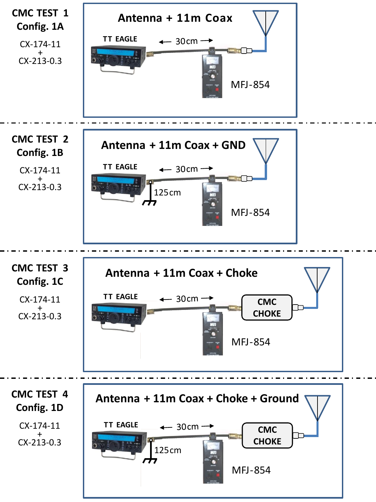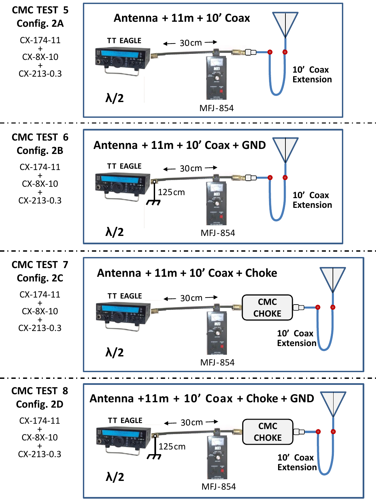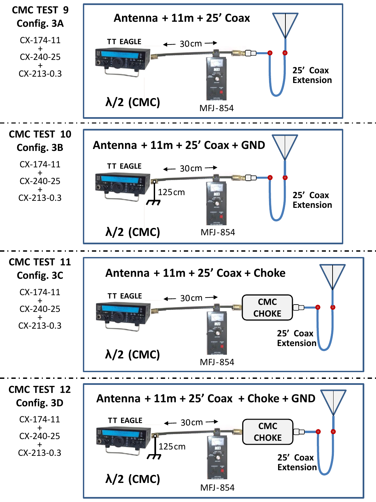